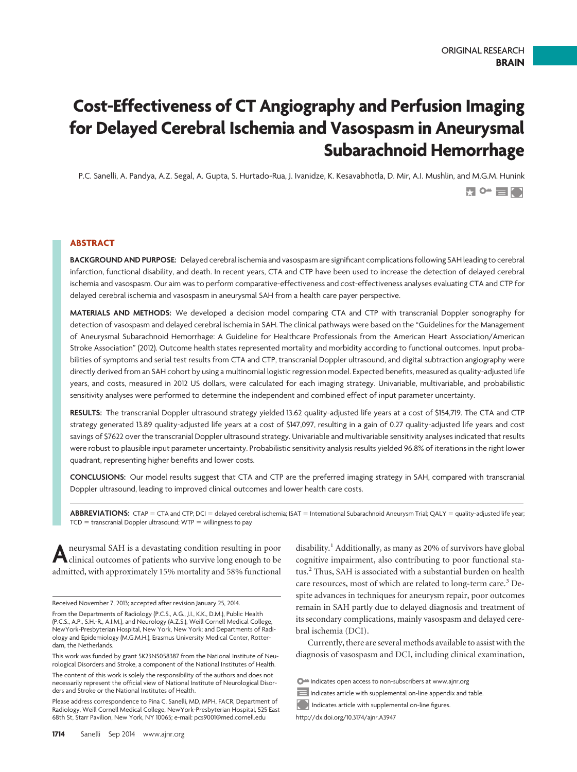# **Cost-Effectiveness of CT Angiography and Perfusion Imaging for Delayed Cerebral Ischemia and Vasospasm in Aneurysmal Subarachnoid Hemorrhage**

P.C. Sanelli, A. Pandya, A.Z. Segal, A. Gupta, S. Hurtado-Rua, J. Ivanidze, K. Kesavabhotla, D. Mir, A.I. Mushlin, and M.G.M. Hunink **지 어 보이** 

# **ABSTRACT**

**BACKGROUND AND PURPOSE:** Delayed cerebral ischemia and vasospasm are significant complications following SAH leading to cerebral infarction, functional disability, and death. In recent years, CTA and CTP have been used to increase the detection of delayed cerebral ischemia and vasospasm. Our aim was to perform comparative-effectiveness and cost-effectiveness analyses evaluating CTA and CTP for delayed cerebral ischemia and vasospasm in aneurysmal SAH from a health care payer perspective.

**MATERIALS AND METHODS:** We developed a decision model comparing CTA and CTP with transcranial Doppler sonography for detection of vasospasm and delayed cerebral ischemia in SAH. The clinical pathways were based on the "Guidelines for the Management of Aneurysmal Subarachnoid Hemorrhage: A Guideline for Healthcare Professionals from the American Heart Association/American Stroke Association" (2012). Outcome health states represented mortality and morbidity according to functional outcomes. Input probabilities of symptoms and serial test results from CTA and CTP, transcranial Doppler ultrasound, and digital subtraction angiography were directly derived from an SAH cohort by using a multinomial logistic regression model. Expected benefits, measured as quality-adjusted life years, and costs, measured in 2012 US dollars, were calculated for each imaging strategy. Univariable, multivariable, and probabilistic sensitivity analyses were performed to determine the independent and combined effect of input parameter uncertainty.

**RESULTS:** The transcranial Doppler ultrasound strategy yielded 13.62 quality-adjusted life years at a cost of \$154,719. The CTA and CTP strategy generated 13.89 quality-adjusted life years at a cost of \$147,097, resulting in a gain of 0.27 quality-adjusted life years and cost savings of \$7622 over the transcranial Doppler ultrasound strategy. Univariable and multivariable sensitivity analyses indicated that results were robust to plausible input parameter uncertainty. Probabilistic sensitivity analysis results yielded 96.8% of iterations in the right lower quadrant, representing higher benefits and lower costs.

**CONCLUSIONS:** Our model results suggest that CTA and CTP are the preferred imaging strategy in SAH, compared with transcranial Doppler ultrasound, leading to improved clinical outcomes and lower health care costs.

ABBREVIATIONS: CTAP = CTA and CTP; DCI = delayed cerebral ischemia; ISAT = International Subarachnoid Aneurysm Trial; QALY = quality-adjusted life year; TCD = transcranial Doppler ultrasound; WTP = willingness to pay

**A**neurysmal SAH is a devastating condition resulting in poor clinical outcomes of patients who survive long enough to be admitted, with approximately 15% mortality and 58% functional

Please address correspondence to Pina C. Sanelli, MD, MPH, FACR, Department of Radiology, Weill Cornell Medical College, NewYork-Presbyterian Hospital, 525 East 68th St, Starr Pavilion, New York, NY 10065; e-mail: pcs9001@med.cornell.edu

disability.<sup>1</sup> Additionally, as many as 20% of survivors have global cognitive impairment, also contributing to poor functional status.<sup>2</sup> Thus, SAH is associated with a substantial burden on health care resources, most of which are related to long-term care.<sup>3</sup> Despite advances in techniques for aneurysm repair, poor outcomes remain in SAH partly due to delayed diagnosis and treatment of its secondary complications, mainly vasospasm and delayed cerebral ischemia (DCI).

Currently, there are several methods available to assist with the diagnosis of vasospasm and DCI, including clinical examination,

Indicates article with supplemental on-line figures.

http://dx.doi.org/10.3174/ajnr.A3947

Received November 7, 2013; accepted after revision January 25, 2014. From the Departments of Radiology (P.C.S., A.G., J.I., K.K., D.M.), Public Health (P.C.S., A.P., S.H.-R., A.I.M.), and Neurology (A.Z.S.), Weill Cornell Medical College, NewYork-Presbyterian Hospital, New York, New York; and Departments of Radiology and Epidemiology (M.G.M.H.), Erasmus University Medical Center, Rotterdam, the Netherlands.

This work was funded by grant 5K23NS058387 from the National Institute of Neurological Disorders and Stroke, a component of the National Institutes of Health.

The content of this work is solely the responsibility of the authors and does not necessarily represent the official view of National Institute of Neurological Disorders and Stroke or the National Institutes of Health.

Indicates open access to non-subscribers at www.ajnr.org

Indicates article with supplemental on-line appendix and table.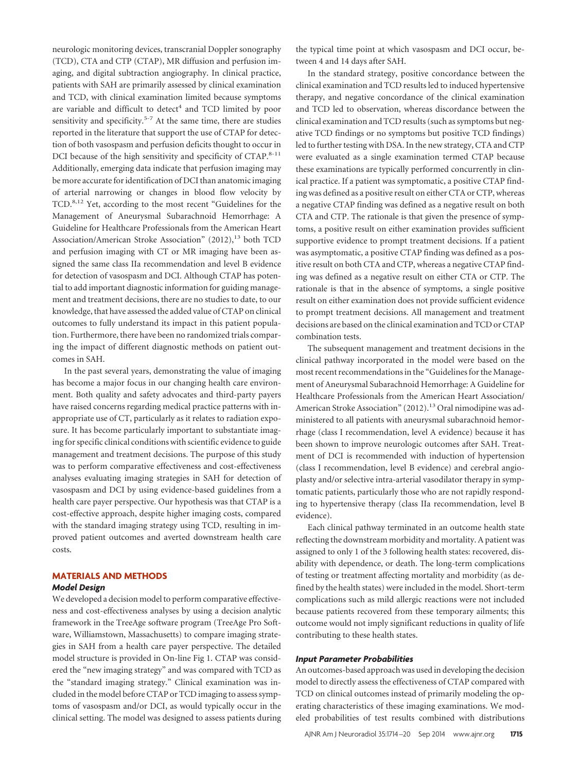neurologic monitoring devices, transcranial Doppler sonography (TCD), CTA and CTP (CTAP), MR diffusion and perfusion imaging, and digital subtraction angiography. In clinical practice, patients with SAH are primarily assessed by clinical examination and TCD, with clinical examination limited because symptoms are variable and difficult to detect<sup>4</sup> and TCD limited by poor sensitivity and specificity.<sup>5-7</sup> At the same time, there are studies reported in the literature that support the use of CTAP for detection of both vasospasm and perfusion deficits thought to occur in DCI because of the high sensitivity and specificity of CTAP.<sup>8-11</sup> Additionally, emerging data indicate that perfusion imaging may be more accurate for identification of DCI than anatomic imaging of arterial narrowing or changes in blood flow velocity by TCD.8,12 Yet, according to the most recent "Guidelines for the Management of Aneurysmal Subarachnoid Hemorrhage: A Guideline for Healthcare Professionals from the American Heart Association/American Stroke Association" (2012),<sup>13</sup> both TCD and perfusion imaging with CT or MR imaging have been assigned the same class IIa recommendation and level B evidence for detection of vasospasm and DCI. Although CTAP has potential to add important diagnostic information for guiding management and treatment decisions, there are no studies to date, to our knowledge, that have assessed the added value of CTAP on clinical outcomes to fully understand its impact in this patient population. Furthermore, there have been no randomized trials comparing the impact of different diagnostic methods on patient outcomes in SAH.

In the past several years, demonstrating the value of imaging has become a major focus in our changing health care environment. Both quality and safety advocates and third-party payers have raised concerns regarding medical practice patterns with inappropriate use of CT, particularly as it relates to radiation exposure. It has become particularly important to substantiate imaging for specific clinical conditions with scientific evidence to guide management and treatment decisions. The purpose of this study was to perform comparative effectiveness and cost-effectiveness analyses evaluating imaging strategies in SAH for detection of vasospasm and DCI by using evidence-based guidelines from a health care payer perspective. Our hypothesis was that CTAP is a cost-effective approach, despite higher imaging costs, compared with the standard imaging strategy using TCD, resulting in improved patient outcomes and averted downstream health care costs.

# **MATERIALS AND METHODS** *Model Design*

We developed a decision model to perform comparative effectiveness and cost-effectiveness analyses by using a decision analytic framework in the TreeAge software program (TreeAge Pro Software, Williamstown, Massachusetts) to compare imaging strategies in SAH from a health care payer perspective. The detailed model structure is provided in On-line Fig 1. CTAP was considered the "new imaging strategy" and was compared with TCD as the "standard imaging strategy." Clinical examination was included in the model before CTAP or TCD imaging to assess symptoms of vasospasm and/or DCI, as would typically occur in the clinical setting. The model was designed to assess patients during

the typical time point at which vasospasm and DCI occur, between 4 and 14 days after SAH.

In the standard strategy, positive concordance between the clinical examination and TCD results led to induced hypertensive therapy, and negative concordance of the clinical examination and TCD led to observation, whereas discordance between the clinical examination and TCD results (such as symptoms but negative TCD findings or no symptoms but positive TCD findings) led to further testing with DSA. In the new strategy, CTA and CTP were evaluated as a single examination termed CTAP because these examinations are typically performed concurrently in clinical practice. If a patient was symptomatic, a positive CTAP finding was defined as a positive result on either CTA or CTP, whereas a negative CTAP finding was defined as a negative result on both CTA and CTP. The rationale is that given the presence of symptoms, a positive result on either examination provides sufficient supportive evidence to prompt treatment decisions. If a patient was asymptomatic, a positive CTAP finding was defined as a positive result on both CTA and CTP, whereas a negative CTAP finding was defined as a negative result on either CTA or CTP. The rationale is that in the absence of symptoms, a single positive result on either examination does not provide sufficient evidence to prompt treatment decisions. All management and treatment decisions are based on the clinical examination and TCD or CTAP combination tests.

The subsequent management and treatment decisions in the clinical pathway incorporated in the model were based on the most recent recommendations in the "Guidelines for the Management of Aneurysmal Subarachnoid Hemorrhage: A Guideline for Healthcare Professionals from the American Heart Association/ American Stroke Association" (2012).<sup>13</sup> Oral nimodipine was administered to all patients with aneurysmal subarachnoid hemorrhage (class I recommendation, level A evidence) because it has been shown to improve neurologic outcomes after SAH. Treatment of DCI is recommended with induction of hypertension (class I recommendation, level B evidence) and cerebral angioplasty and/or selective intra-arterial vasodilator therapy in symptomatic patients, particularly those who are not rapidly responding to hypertensive therapy (class IIa recommendation, level B evidence).

Each clinical pathway terminated in an outcome health state reflecting the downstream morbidity and mortality. A patient was assigned to only 1 of the 3 following health states: recovered, disability with dependence, or death. The long-term complications of testing or treatment affecting mortality and morbidity (as defined by the health states) were included in the model. Short-term complications such as mild allergic reactions were not included because patients recovered from these temporary ailments; this outcome would not imply significant reductions in quality of life contributing to these health states.

## *Input Parameter Probabilities*

An outcomes-based approach was used in developing the decision model to directly assess the effectiveness of CTAP compared with TCD on clinical outcomes instead of primarily modeling the operating characteristics of these imaging examinations. We modeled probabilities of test results combined with distributions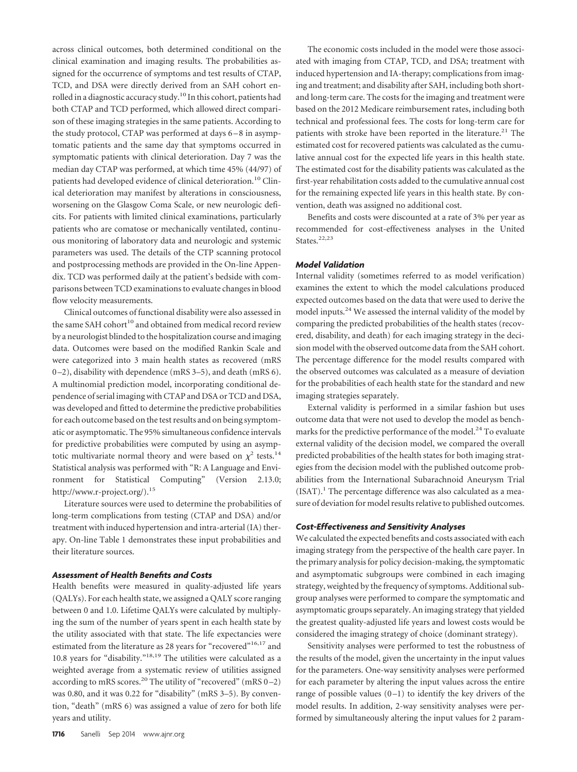across clinical outcomes, both determined conditional on the clinical examination and imaging results. The probabilities assigned for the occurrence of symptoms and test results of CTAP, TCD, and DSA were directly derived from an SAH cohort enrolled in a diagnostic accuracy study.10 In this cohort, patients had both CTAP and TCD performed, which allowed direct comparison of these imaging strategies in the same patients. According to the study protocol, CTAP was performed at days 6 –8 in asymptomatic patients and the same day that symptoms occurred in symptomatic patients with clinical deterioration. Day 7 was the median day CTAP was performed, at which time 45% (44/97) of patients had developed evidence of clinical deterioration.<sup>10</sup> Clinical deterioration may manifest by alterations in consciousness, worsening on the Glasgow Coma Scale, or new neurologic deficits. For patients with limited clinical examinations, particularly patients who are comatose or mechanically ventilated, continuous monitoring of laboratory data and neurologic and systemic parameters was used. The details of the CTP scanning protocol and postprocessing methods are provided in the On-line Appendix. TCD was performed daily at the patient's bedside with comparisons between TCD examinations to evaluate changes in blood flow velocity measurements.

Clinical outcomes of functional disability were also assessed in the same SAH cohort<sup>10</sup> and obtained from medical record review by a neurologist blinded to the hospitalization course and imaging data. Outcomes were based on the modified Rankin Scale and were categorized into 3 main health states as recovered (mRS 0 –2), disability with dependence (mRS 3–5), and death (mRS 6). A multinomial prediction model, incorporating conditional dependence of serial imaging with CTAP and DSA or TCD and DSA, was developed and fitted to determine the predictive probabilities for each outcome based on the test results and on being symptomatic or asymptomatic. The 95% simultaneous confidence intervals for predictive probabilities were computed by using an asymptotic multivariate normal theory and were based on  $\chi^2$  tests.<sup>14</sup> Statistical analysis was performed with "R: A Language and Environment for Statistical Computing" (Version 2.13.0; [http://www.r-project.org/\)](http://www.r-project.org/).15

Literature sources were used to determine the probabilities of long-term complications from testing (CTAP and DSA) and/or treatment with induced hypertension and intra-arterial (IA) therapy. On-line Table 1 demonstrates these input probabilities and their literature sources.

## *Assessment of Health Benefits and Costs*

Health benefits were measured in quality-adjusted life years (QALYs). For each health state, we assigned a QALY score ranging between 0 and 1.0. Lifetime QALYs were calculated by multiplying the sum of the number of years spent in each health state by the utility associated with that state. The life expectancies were estimated from the literature as 28 years for "recovered"<sup>16,17</sup> and 10.8 years for "disability."18,19 The utilities were calculated as a weighted average from a systematic review of utilities assigned according to mRS scores.<sup>20</sup> The utility of "recovered" (mRS  $0-2$ ) was 0.80, and it was 0.22 for "disability" (mRS 3–5). By convention, "death" (mRS 6) was assigned a value of zero for both life years and utility.

The economic costs included in the model were those associated with imaging from CTAP, TCD, and DSA; treatment with induced hypertension and IA-therapy; complications from imaging and treatment; and disability after SAH, including both shortand long-term care. The costs for the imaging and treatment were based on the 2012 Medicare reimbursement rates, including both technical and professional fees. The costs for long-term care for patients with stroke have been reported in the literature.<sup>21</sup> The estimated cost for recovered patients was calculated as the cumulative annual cost for the expected life years in this health state. The estimated cost for the disability patients was calculated as the first-year rehabilitation costs added to the cumulative annual cost for the remaining expected life years in this health state. By convention, death was assigned no additional cost.

Benefits and costs were discounted at a rate of 3% per year as recommended for cost-effectiveness analyses in the United States.<sup>22,23</sup>

#### *Model Validation*

Internal validity (sometimes referred to as model verification) examines the extent to which the model calculations produced expected outcomes based on the data that were used to derive the model inputs.<sup>24</sup> We assessed the internal validity of the model by comparing the predicted probabilities of the health states (recovered, disability, and death) for each imaging strategy in the decision model with the observed outcome data from the SAH cohort. The percentage difference for the model results compared with the observed outcomes was calculated as a measure of deviation for the probabilities of each health state for the standard and new imaging strategies separately.

External validity is performed in a similar fashion but uses outcome data that were not used to develop the model as benchmarks for the predictive performance of the model.<sup>24</sup> To evaluate external validity of the decision model, we compared the overall predicted probabilities of the health states for both imaging strategies from the decision model with the published outcome probabilities from the International Subarachnoid Aneurysm Trial  $(ISAT).<sup>1</sup>$  The percentage difference was also calculated as a measure of deviation for model results relative to published outcomes.

## *Cost-Effectiveness and Sensitivity Analyses*

We calculated the expected benefits and costs associated with each imaging strategy from the perspective of the health care payer. In the primary analysis for policy decision-making, the symptomatic and asymptomatic subgroups were combined in each imaging strategy, weighted by the frequency of symptoms. Additional subgroup analyses were performed to compare the symptomatic and asymptomatic groups separately. An imaging strategy that yielded the greatest quality-adjusted life years and lowest costs would be considered the imaging strategy of choice (dominant strategy).

Sensitivity analyses were performed to test the robustness of the results of the model, given the uncertainty in the input values for the parameters. One-way sensitivity analyses were performed for each parameter by altering the input values across the entire range of possible values  $(0-1)$  to identify the key drivers of the model results. In addition, 2-way sensitivity analyses were performed by simultaneously altering the input values for 2 param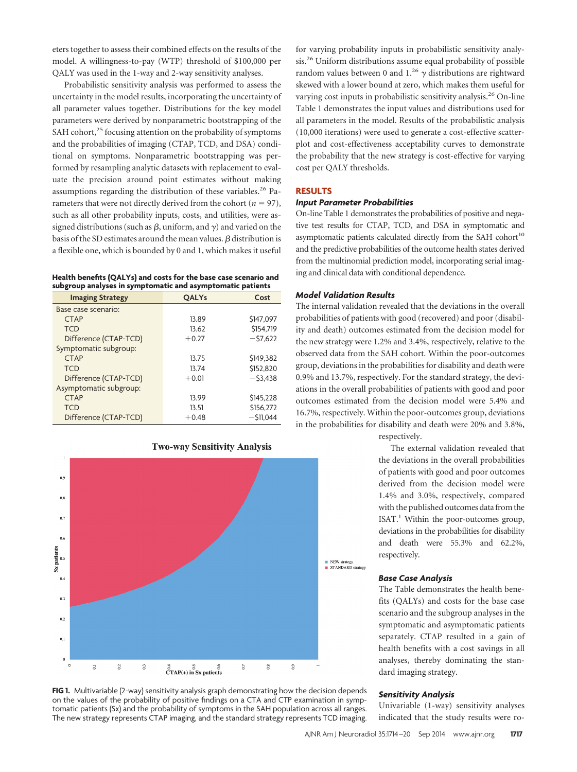eters together to assess their combined effects on the results of the model. A willingness-to-pay (WTP) threshold of \$100,000 per QALY was used in the 1-way and 2-way sensitivity analyses.

Probabilistic sensitivity analysis was performed to assess the uncertainty in the model results, incorporating the uncertainty of all parameter values together. Distributions for the key model parameters were derived by nonparametric bootstrapping of the SAH cohort,<sup>25</sup> focusing attention on the probability of symptoms and the probabilities of imaging (CTAP, TCD, and DSA) conditional on symptoms. Nonparametric bootstrapping was performed by resampling analytic datasets with replacement to evaluate the precision around point estimates without making assumptions regarding the distribution of these variables.<sup>26</sup> Parameters that were not directly derived from the cohort ( $n = 97$ ), such as all other probability inputs, costs, and utilities, were assigned distributions (such as  $\beta$ , uniform, and  $\gamma$ ) and varied on the basis of the SD estimates around the mean values.  $\beta$  distribution is a flexible one, which is bounded by 0 and 1, which makes it useful

**Health benefits (QALYs) and costs for the base case scenario and subgroup analyses in symptomatic and asymptomatic patients**

| <b>Imaging Strategy</b> | QALYs   | Cost         |
|-------------------------|---------|--------------|
| Base case scenario:     |         |              |
| <b>CTAP</b>             | 13.89   | \$147.097    |
| <b>TCD</b>              | 13.62   | \$154,719    |
| Difference (CTAP-TCD)   | $+0.27$ | $-57.622$    |
| Symptomatic subgroup:   |         |              |
| <b>CTAP</b>             | 13.75   | \$149.382    |
| <b>TCD</b>              | 13.74   | \$152,820    |
| Difference (CTAP-TCD)   | $+0.01$ | $-53.438$    |
| Asymptomatic subgroup:  |         |              |
| <b>CTAP</b>             | 13.99   | \$145.228    |
| <b>TCD</b>              | 13.51   | \$156,272    |
| Difference (CTAP-TCD)   | $+0.48$ | $-$ \$11.044 |





for varying probability inputs in probabilistic sensitivity analysis.26 Uniform distributions assume equal probability of possible random values between 0 and  $1.^{26}$   $\gamma$  distributions are rightward skewed with a lower bound at zero, which makes them useful for varying cost inputs in probabilistic sensitivity analysis.<sup>26</sup> On-line Table 1 demonstrates the input values and distributions used for all parameters in the model. Results of the probabilistic analysis (10,000 iterations) were used to generate a cost-effective scatterplot and cost-effectiveness acceptability curves to demonstrate the probability that the new strategy is cost-effective for varying cost per QALY thresholds.

## **RESULTS**

#### *Input Parameter Probabilities*

On-line Table 1 demonstrates the probabilities of positive and negative test results for CTAP, TCD, and DSA in symptomatic and asymptomatic patients calculated directly from the SAH cohort<sup>10</sup> and the predictive probabilities of the outcome health states derived from the multinomial prediction model, incorporating serial imaging and clinical data with conditional dependence.

### *Model Validation Results*

The internal validation revealed that the deviations in the overall probabilities of patients with good (recovered) and poor (disability and death) outcomes estimated from the decision model for the new strategy were 1.2% and 3.4%, respectively, relative to the observed data from the SAH cohort. Within the poor-outcomes group, deviations in the probabilities for disability and death were 0.9% and 13.7%, respectively. For the standard strategy, the deviations in the overall probabilities of patients with good and poor outcomes estimated from the decision model were 5.4% and 16.7%, respectively. Within the poor-outcomes group, deviations in the probabilities for disability and death were 20% and 3.8%,

respectively.

The external validation revealed that the deviations in the overall probabilities of patients with good and poor outcomes derived from the decision model were 1.4% and 3.0%, respectively, compared with the published outcomes data from the ISAT.<sup>1</sup> Within the poor-outcomes group, deviations in the probabilities for disability and death were 55.3% and 62.2%, respectively.

## *Base Case Analysis*

The Table demonstrates the health benefits (QALYs) and costs for the base case scenario and the subgroup analyses in the symptomatic and asymptomatic patients separately. CTAP resulted in a gain of health benefits with a cost savings in all analyses, thereby dominating the standard imaging strategy.

#### *Sensitivity Analysis*

Univariable (1-way) sensitivity analyses indicated that the study results were ro-

**Two-way Sensitivity Analysis**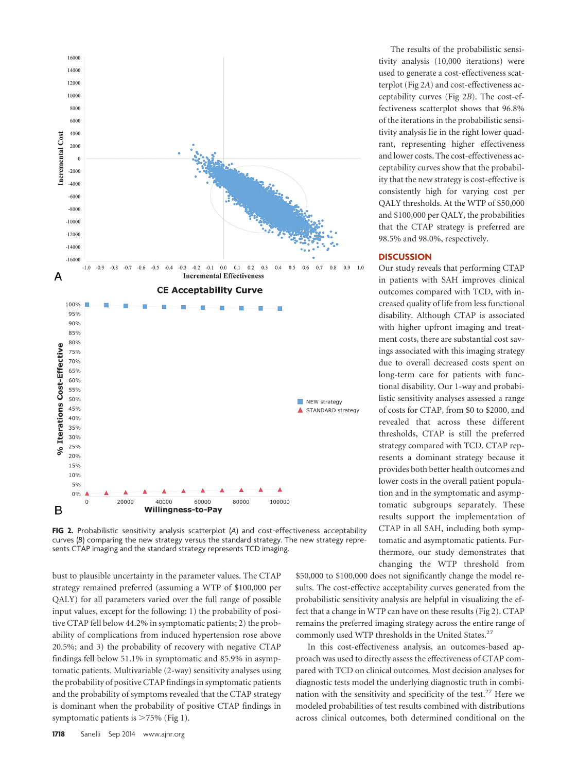

**FIG 2.** Probabilistic sensitivity analysis scatterplot (*A*) and cost-effectiveness acceptability curves (*B*) comparing the new strategy versus the standard strategy. The new strategy represents CTAP imaging and the standard strategy represents TCD imaging.

bust to plausible uncertainty in the parameter values. The CTAP strategy remained preferred (assuming a WTP of \$100,000 per QALY) for all parameters varied over the full range of possible input values, except for the following: 1) the probability of positive CTAP fell below 44.2% in symptomatic patients; 2) the probability of complications from induced hypertension rose above 20.5%; and 3) the probability of recovery with negative CTAP findings fell below 51.1% in symptomatic and 85.9% in asymptomatic patients. Multivariable (2-way) sensitivity analyses using the probability of positive CTAP findings in symptomatic patients and the probability of symptoms revealed that the CTAP strategy is dominant when the probability of positive CTAP findings in symptomatic patients is  $>75%$  (Fig 1).

\$50,000 to \$100,000 does not significantly change the model results. The cost-effective acceptability curves generated from the probabilistic sensitivity analysis are helpful in visualizing the effect that a change in WTP can have on these results (Fig 2). CTAP remains the preferred imaging strategy across the entire range of commonly used WTP thresholds in the United States.<sup>27</sup>

In this cost-effectiveness analysis, an outcomes-based approach was used to directly assess the effectiveness of CTAP compared with TCD on clinical outcomes. Most decision analyses for diagnostic tests model the underlying diagnostic truth in combination with the sensitivity and specificity of the test.<sup>27</sup> Here we modeled probabilities of test results combined with distributions across clinical outcomes, both determined conditional on the

The results of the probabilistic sensitivity analysis (10,000 iterations) were used to generate a cost-effectiveness scatterplot (Fig 2*A*) and cost-effectiveness acceptability curves (Fig 2*B*). The cost-effectiveness scatterplot shows that 96.8% of the iterations in the probabilistic sensitivity analysis lie in the right lower quadrant, representing higher effectiveness and lower costs. The cost-effectiveness acceptability curves show that the probability that the new strategy is cost-effective is consistently high for varying cost per QALY thresholds. At the WTP of \$50,000 and \$100,000 per QALY, the probabilities that the CTAP strategy is preferred are 98.5% and 98.0%, respectively.

#### **DISCUSSION**

Our study reveals that performing CTAP in patients with SAH improves clinical outcomes compared with TCD, with increased quality of life from less functional disability. Although CTAP is associated with higher upfront imaging and treatment costs, there are substantial cost savings associated with this imaging strategy due to overall decreased costs spent on long-term care for patients with functional disability. Our 1-way and probabilistic sensitivity analyses assessed a range of costs for CTAP, from \$0 to \$2000, and revealed that across these different thresholds, CTAP is still the preferred strategy compared with TCD. CTAP represents a dominant strategy because it provides both better health outcomes and lower costs in the overall patient population and in the symptomatic and asymptomatic subgroups separately. These results support the implementation of CTAP in all SAH, including both symptomatic and asymptomatic patients. Furthermore, our study demonstrates that changing the WTP threshold from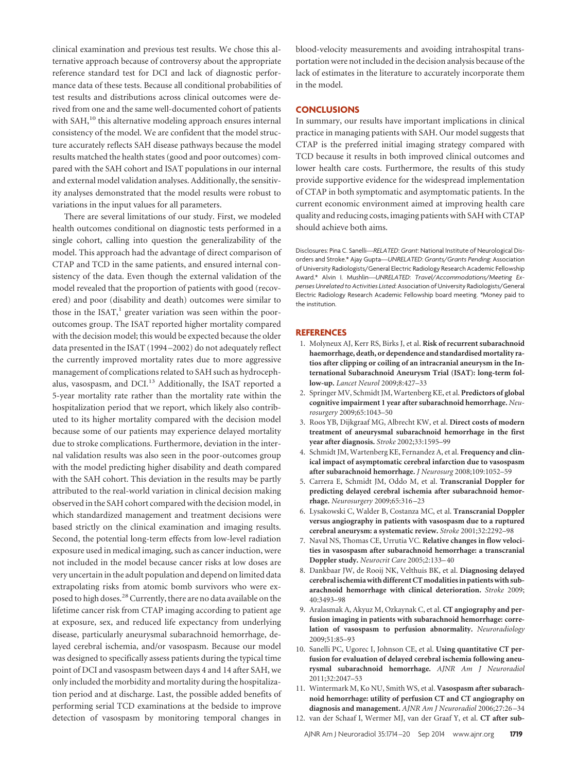clinical examination and previous test results. We chose this alternative approach because of controversy about the appropriate reference standard test for DCI and lack of diagnostic performance data of these tests. Because all conditional probabilities of test results and distributions across clinical outcomes were derived from one and the same well-documented cohort of patients with SAH,<sup>10</sup> this alternative modeling approach ensures internal consistency of the model. We are confident that the model structure accurately reflects SAH disease pathways because the model results matched the health states (good and poor outcomes) compared with the SAH cohort and ISAT populations in our internal and external model validation analyses. Additionally, the sensitivity analyses demonstrated that the model results were robust to variations in the input values for all parameters.

There are several limitations of our study. First, we modeled health outcomes conditional on diagnostic tests performed in a single cohort, calling into question the generalizability of the model. This approach had the advantage of direct comparison of CTAP and TCD in the same patients, and ensured internal consistency of the data. Even though the external validation of the model revealed that the proportion of patients with good (recovered) and poor (disability and death) outcomes were similar to those in the ISAT, $<sup>1</sup>$  greater variation was seen within the poor-</sup> outcomes group. The ISAT reported higher mortality compared with the decision model; this would be expected because the older data presented in the ISAT (1994 –2002) do not adequately reflect the currently improved mortality rates due to more aggressive management of complications related to SAH such as hydrocephalus, vasospasm, and DCI.<sup>13</sup> Additionally, the ISAT reported a 5-year mortality rate rather than the mortality rate within the hospitalization period that we report, which likely also contributed to its higher mortality compared with the decision model because some of our patients may experience delayed mortality due to stroke complications. Furthermore, deviation in the internal validation results was also seen in the poor-outcomes group with the model predicting higher disability and death compared with the SAH cohort. This deviation in the results may be partly attributed to the real-world variation in clinical decision making observed in the SAH cohort compared with the decision model, in which standardized management and treatment decisions were based strictly on the clinical examination and imaging results. Second, the potential long-term effects from low-level radiation exposure used in medical imaging, such as cancer induction, were not included in the model because cancer risks at low doses are very uncertain in the adult population and depend on limited data extrapolating risks from atomic bomb survivors who were exposed to high doses.<sup>28</sup> Currently, there are no data available on the lifetime cancer risk from CTAP imaging according to patient age at exposure, sex, and reduced life expectancy from underlying disease, particularly aneurysmal subarachnoid hemorrhage, delayed cerebral ischemia, and/or vasospasm. Because our model was designed to specifically assess patients during the typical time point of DCI and vasospasm between days 4 and 14 after SAH, we only included the morbidity and mortality during the hospitalization period and at discharge. Last, the possible added benefits of performing serial TCD examinations at the bedside to improve detection of vasospasm by monitoring temporal changes in

blood-velocity measurements and avoiding intrahospital transportation were not included in the decision analysis because of the lack of estimates in the literature to accurately incorporate them in the model.

#### **CONCLUSIONS**

In summary, our results have important implications in clinical practice in managing patients with SAH. Our model suggests that CTAP is the preferred initial imaging strategy compared with TCD because it results in both improved clinical outcomes and lower health care costs. Furthermore, the results of this study provide supportive evidence for the widespread implementation of CTAP in both symptomatic and asymptomatic patients. In the current economic environment aimed at improving health care quality and reducing costs, imaging patients with SAH with CTAP should achieve both aims.

Disclosures: Pina C. Sanelli—*RELATED*: *Grant*: National Institute of Neurological Disorders and Stroke.\* Ajay Gupta—*UNRELATED*: *Grants/Grants Pending*: Association of University Radiologists/General Electric Radiology Research Academic Fellowship Award.\* Alvin I. Mushlin—*UNRELATED*: *Travel/Accommodations/Meeting Expenses Unrelated to Activities Listed*: Association of University Radiologists/General Electric Radiology Research Academic Fellowship board meeting. *\**Money paid to the institution.

#### **REFERENCES**

- 1. Molyneux AJ, Kerr RS, Birks J, et al. **Risk of recurrent subarachnoid haemorrhage, death, or dependence and standardised mortality ratios after clipping or coiling of an intracranial aneurysm in the International Subarachnoid Aneurysm Trial (ISAT): long-term follow-up.** *Lancet Neurol* 2009;8:427–33
- 2. Springer MV, Schmidt JM, Wartenberg KE, et al. **Predictors of global cognitive impairment 1 year after subarachnoid hemorrhage.** *Neurosurgery* 2009;65:1043–50
- 3. Roos YB, Dijkgraaf MG, Albrecht KW, et al. **Direct costs of modern treatment of aneurysmal subarachnoid hemorrhage in the first year after diagnosis.** *Stroke* 2002;33:1595–99
- 4. Schmidt JM, Wartenberg KE, Fernandez A, et al. **Frequency and clinical impact of asymptomatic cerebral infarction due to vasospasm after subarachnoid hemorrhage.** *J Neurosurg* 2008;109:1052–59
- 5. Carrera E, Schmidt JM, Oddo M, et al. **Transcranial Doppler for predicting delayed cerebral ischemia after subarachnoid hemorrhage.** *Neurosurgery* 2009;65:316 –23
- 6. Lysakowski C, Walder B, Costanza MC, et al. **Transcranial Doppler versus angiography in patients with vasospasm due to a ruptured cerebral aneurysm: a systematic review.** *Stroke* 2001;32:2292–98
- 7. Naval NS, Thomas CE, Urrutia VC. **Relative changes in flow velocities in vasospasm after subarachnoid hemorrhage: a transcranial Doppler study.** *Neurocrit Care* 2005;2:133–40
- 8. Dankbaar JW, de Rooij NK, Velthuis BK, et al. **Diagnosing delayed** cerebral ischemia with different CT modalities in patients with sub**arachnoid hemorrhage with clinical deterioration.** *Stroke* 2009; 40:3493–98
- 9. Aralasmak A, Akyuz M, Ozkaynak C, et al. **CT angiography and perfusion imaging in patients with subarachnoid hemorrhage: correlation of vasospasm to perfusion abnormality.** *Neuroradiology* 2009;51:85–93
- 10. Sanelli PC, Ugorec I, Johnson CE, et al. **Using quantitative CT perfusion for evaluation of delayed cerebral ischemia following aneurysmal subarachnoid hemorrhage.** *AJNR Am J Neuroradiol* 2011;32:2047–53
- 11. Wintermark M, Ko NU, Smith WS, et al. **Vasospasm after subarachnoid hemorrhage: utility of perfusion CT and CT angiography on diagnosis and management.** *AJNR Am J Neuroradiol* 2006;27:26 –34
- 12. van der Schaaf I, Wermer MJ, van der Graaf Y, et al. **CT after sub-**